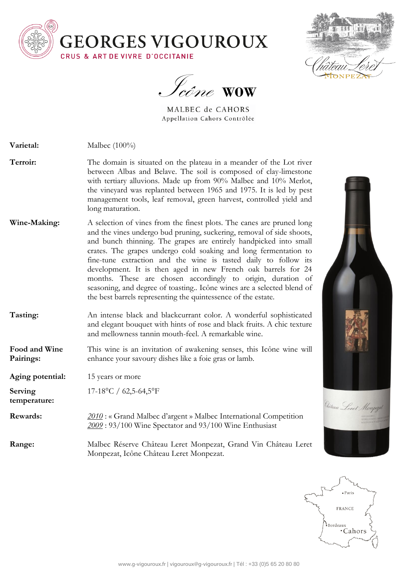



Icône **WOW**

MALBEC de CAHORS Appellation Cahors Contrôlée

- **Varietal:** Malbec (100%)
- **Terroir:** The domain is situated on the plateau in a meander of the Lot river between Albas and Belave. The soil is composed of clay-limestone with tertiary alluvions. Made up from 90% Malbec and 10% Merlot, the vineyard was replanted between 1965 and 1975. It is led by pest management tools, leaf removal, green harvest, controlled yield and long maturation.
- **Wine-Making:** A selection of vines from the finest plots. The canes are pruned long and the vines undergo bud pruning, suckering, removal of side shoots, and bunch thinning. The grapes are entirely handpicked into small crates. The grapes undergo cold soaking and long fermentation to fine-tune extraction and the wine is tasted daily to follow its development. It is then aged in new French oak barrels for 24 months. These are chosen accordingly to origin, duration of seasoning, and degree of toasting.. Icône wines are a selected blend of the best barrels representing the quintessence of the estate.
- **Tasting:** An intense black and blackcurrant color. A wonderful sophisticated and elegant bouquet with hints of rose and black fruits. A chic texture and mellowness tannin mouth-feel. A remarkable wine.
- **Food and Wine Pairings:** This wine is an invitation of awakening senses, this Icône wine will enhance your savoury dishes like a foie gras or lamb.

**Aging potential:** 15 years or more

**temperature:**

**Serving**  17-18°C / 62,5-64,5°F

**Rewards:** *<u>2010</u>*: « Grand Malbec d'argent » Malbec International Competition *2009* : 93/100 Wine Spectator and 93/100 Wine Enthusiast

**Range:** Malbec Réserve Château Leret Monpezat, Grand Vin Château Leret Monpezat, Icône Château Leret Monpezat.